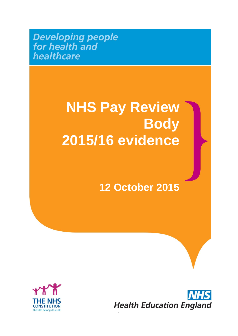**Developing people**<br>for health and healthcare

## **NHS Pay Review Body 2015/16 evidence**

### **12 October 2015**



**Health Education England**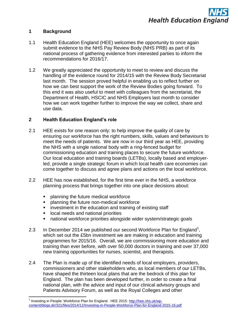#### **1 Background**

- 1.1 Health Education England (HEE) welcomes the opportunity to once again submit evidence to the NHS Pay Review Body (NHS PRB) as part of its national process of gathering evidence from interested parties to inform the recommendations for 2016/17.
- 1.2 We greatly appreciated the opportunity to meet to review and discuss the handling of the evidence round for 2014/15 with the Review Body Secretariat last month. The session proved helpful in enabling us to reflect further on how we can best support the work of the Review Bodies going forward. To this end it was also useful to meet with colleagues from the secretariat, the Department of Health, HSCIC and NHS Employers last month to consider how we can work together further to improve the way we collect, share and use data.

#### **2 Health Education England's role**

- 2.1 HEE exists for one reason only: to help improve the quality of care by ensuring our workforce has the right numbers, skills, values and behaviours to meet the needs of patients. We are now in our third year as HEE, providing the NHS with a single national body with a ring-fenced budget for commissioning education and training places to secure the future workforce. Our local education and training boards (LETBs), locally based and employerled, provide a single strategic forum in which local health care economies can come together to discuss and agree plans and actions on the local workforce.
- 2.2 HEE has now established, for the first time ever in the NHS, a workforce planning process that brings together into one place decisions about:
	- planning the future medical workforce
	- planning the future non-medical workforce
	- **EXECT** investment in the education and training of existing staff
	- local needs and national priorities

**.** 

- national workforce priorities alongside wider system/strategic goals
- 2.3 In December 2014 we published our second Workforce Plan for England<sup>1</sup>, which set out the £5bn investment we are making in education and training programmes for 2015/16. Overall, we are commissioning more education and training than ever before, with over 50,000 doctors in training and over 37,000 new training opportunities for nurses, scientist, and therapists.
- 2.4 The Plan is made up of the identified needs of local employers, providers, commissioners and other stakeholders who, as local members of our LETBs, have shaped the thirteen local plans that are the bedrock of this plan for England. The plan has been developed further, in order to create a final national plan, with the advice and input of our clinical advisory groups and Patients Advisory Forum, as well as the Royal Colleges and other

<sup>&</sup>lt;sup>1</sup> Investing in People: Workforce Plan for England. HEE 2015: [http://hee.nhs.uk/wp](http://hee.nhs.uk/wp-content/blogs.dir/321/files/2014/12/Investing-in-People-Workforce-Plan-for-England-2015-16.pdf)[content/blogs.dir/321/files/2014/12/Investing-in-People-Workforce-Plan-for-England-2015-16.pdf](http://hee.nhs.uk/wp-content/blogs.dir/321/files/2014/12/Investing-in-People-Workforce-Plan-for-England-2015-16.pdf)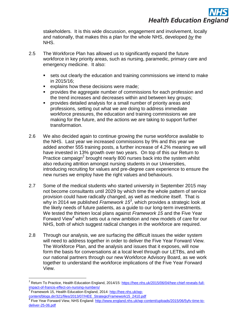

stakeholders. It is this wide discussion, engagement and involvement, locally and nationally, that makes this a plan for the whole NHS, developed *by* the NHS.

- 2.5 The Workforce Plan has allowed us to significantly expand the future workforce in key priority areas, such as nursing, paramedic, primary care and emergency medicine. It also:
	- sets out clearly the education and training commissions we intend to make in 2015/16;
	- explains how these decisions were made;
	- provides the aggregate number of commissions for each profession and the trend increases and decreases within and between key groups;
	- provides detailed analysis for a small number of priority areas and professions, setting out what we are doing to address immediate workforce pressures, the education and training commissions we are making for the future, and the actions we are taking to support further transformation.
- 2.6 We also decided again to continue growing the nurse workforce available to the NHS. Last year we increased commissions by 9% and this year we added another 555 training posts, a further increase of 4.2% meaning we will have invested in 13% growth over two years. On top of this our Return to Practice campaign<sup>2</sup> brought nearly 800 nurses back into the system whilst also reducing attrition amongst nursing students in our Universities, introducing recruiting for values and pre-degree care experience to ensure the new nurses we employ have the right values and behaviours.
- 2.7 Some of the medical students who started university in September 2015 may not become consultants until 2029 by which time the whole pattern of service provision could have radically changed, as well as medicine itself. That is why in 2014 we published *Framework 15<sup>3</sup>* , which provides a strategic look at the likely needs of future patients, as a guide to our long-term investments. We tested the thirteen local plans against *Framework 15* and the Five Year Forward View<sup>4</sup> which sets out a new ambition and new models of care for our NHS, both of which suggest radical changes in the workforce are required.
- 2.8 Through our analysis, we are surfacing the difficult issues the wider system will need to address together in order to deliver the Five Year Forward View. The Workforce Plan, and the analysis and issues that it exposes, will now form the basis for conversations at a local level through our LETBs, and with our national partners through our new Workforce Advisory Board, as we work together to understand the workforce implications of the Five Year Forward View.

**.** 

<sup>&</sup>lt;sup>2</sup> Return To Practice, Health Education England, 2014/15: [https://hee.nhs.uk/2015/06/04/hee-chief-reveals-full](https://hee.nhs.uk/2015/06/04/hee-chief-reveals-full-impact-of-francis-effect-on-nursing-numbers/)[impact-of-francis-effect-on-nursing-numbers/](https://hee.nhs.uk/2015/06/04/hee-chief-reveals-full-impact-of-francis-effect-on-nursing-numbers/)

<sup>3</sup> Framework 15, Health Education England, 2014: [http://hee.nhs.uk/wp](http://hee.nhs.uk/wp-content/blogs.dir/321/files/2013/07/HEE_StrategicFramework15_2410.pdf)[content/blogs.dir/321/files/2013/07/HEE\\_StrategicFramework15\\_2410.pdf](http://hee.nhs.uk/wp-content/blogs.dir/321/files/2013/07/HEE_StrategicFramework15_2410.pdf) 4

Five Year Forward View, NHS England: [http://www.england.nhs.uk/wp-content/uploads/2015/06/5yfv-time-to](http://www.england.nhs.uk/wp-content/uploads/2015/06/5yfv-time-to-deliver-25-06.pdf)[deliver-25-06.pdf](http://www.england.nhs.uk/wp-content/uploads/2015/06/5yfv-time-to-deliver-25-06.pdf)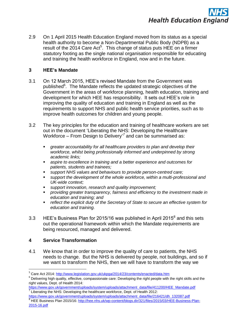

2.9 On 1 April 2015 Health Education England moved from its status as a special health authority to become a Non-Departmental Public Body (NDPB) as a result of the 2014 Care Act<sup>5</sup>. This change of status puts HEE on a firmer statutory footing as the single national organisation responsible for educating and training the health workforce in England, now and in the future.

#### **3 HEE's Mandate**

- 3.1 On 12 March 2015, HEE"s revised Mandate from the Government was published<sup>6</sup>. The Mandate reflects the updated strategic objectives of the Government in the areas of workforce planning, health education, training and development for which HEE has responsibility. It sets out HEE"s role in improving the quality of education and training in England as well as the requirements to support NHS and public health service priorities, such as to improve health outcomes for children and young people.
- 3.2 The key principles for the education and training of healthcare workers are set out in the document "Liberating the NHS: Developing the Healthcare Workforce – From Design to Delivery<sup>7</sup> and can be summarised as:
	- *greater accountability for all healthcare providers to plan and develop their workforce, whilst being professionally informed and underpinned by strong academic links;*
	- *aspire to excellence in training and a better experience and outcomes for patients, students and trainees;*
	- *support NHS values and behaviours to provide person-centred care;*
	- *support the development of the whole workforce, within a multi-professional and UK-wide context;*
	- *support innovation, research and quality improvement;*
	- *providing greater transparency, fairness and efficiency to the investment made in education and training; and*
	- *reflect the explicit duty of the Secretary of State to secure an effective system for education and training.*
- 3.3 HEE's Business Plan for 2015/16 was published in April 2015 $^8$  and this sets out the operational framework within which the Mandate requirements are being resourced, managed and delivered.

#### **4 Service Transformation**

**.** 

4.1 We know that in order to improve the quality of care to patients, the NHS needs to change. But the NHS is delivered by people, not buildings, and so if we want to transform the NHS, then we will have to transform the way we

<sup>&</sup>lt;sup>5</sup> Care Act 2014:<http://www.legislation.gov.uk/ukpga/2014/23/contents/enacted/data.htm>

 $6$  Delivering high quality, effective, compassionate care: Developing the right people with the right skills and the right values, Dept. of Health 2014:

[https://www.gov.uk/government/uploads/system/uploads/attachment\\_data/file/411200/HEE\\_Mandate.pdf](https://www.gov.uk/government/uploads/system/uploads/attachment_data/file/411200/HEE_Mandate.pdf)  $\frac{7}{7}$  Liberating the NHS: Developing the healthcare workforce, Dept. of Health 2012:

[https://www.gov.uk/government/uploads/system/uploads/attachment\\_data/file/216421/dh\\_132087.pdf](https://www.gov.uk/government/uploads/system/uploads/attachment_data/file/216421/dh_132087.pdf) <sup>8</sup> HEE Business Plan 2015/16[: http://hee.nhs.uk/wp-content/blogs.dir/321/files/2015/03/HEE-Business-Plan-](http://hee.nhs.uk/wp-content/blogs.dir/321/files/2015/03/HEE-Business-Plan-2015-16.pdf)[2015-16.pdf](http://hee.nhs.uk/wp-content/blogs.dir/321/files/2015/03/HEE-Business-Plan-2015-16.pdf)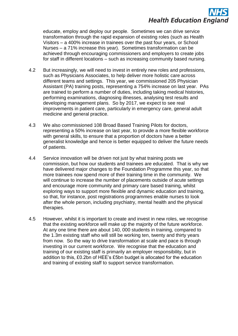# **Health Education England**

educate, employ and deploy our people. Sometimes we can drive service transformation through the rapid expansion of existing roles (such as Health Visitors – a 400% increase in trainees over the past four years, or School Nurses – a 71% increase this year). Sometimes transformation can be achieved through encouraging commissioners and employers to create jobs for staff in different locations – such as increasing community based nursing.

- 4.2 But increasingly, we will need to invest in entirely new roles and professions, such as Physicians Associates, to help deliver more holistic care across different teams and settings. This year, we commissioned 205 Physician Assistant (PA) training posts, representing a 754% increase on last year. PAs are trained to perform a number of duties, including taking medical histories, performing examinations, diagnosing illnesses, analysing test results and developing management plans. So by 2017, we expect to see real improvements in patient care, particularly in emergency care, general adult medicine and general practice.
- 4.3 We also commissioned 108 Broad Based Training Pilots for doctors, representing a 50% increase on last year, to provide a more flexible workforce with general skills, to ensure that a proportion of doctors have a better generalist knowledge and hence is better equipped to deliver the future needs of patients.
- 4.4 Service innovation will be driven not just by what training posts we commission, but how our students and trainees are educated. That is why we have delivered major changes to the Foundation Programme this year, so that more trainees now spend more of their training time in the community. We will continue to increase the number of placements outside of acute settings and encourage more community and primary care based training, whilst exploring ways to support more flexible and dynamic education and training, so that, for instance, post registrations programmes enable nurses to look after the whole person, including psychiatry, mental health and the physical therapies.
- 4.5 However, whilst it is important to create and invest in new roles, we recognise that the existing workforce will make up the majority of the future workforce. At any one time there are about 140, 000 students in training, compared to the 1.3m existing staff who will still be working ten, twenty and thirty years from now. So the way to drive transformation at scale and pace is through investing in our current workforce. We recognise that the education and training of our existing staff is primarily an employer responsibility, but in addition to this, £0.2bn of HEE"s £5bn budget is allocated for the education and training of existing staff to support service transformation.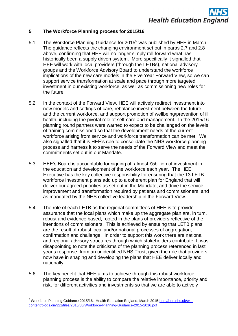#### **5 The Workforce Planning process for 2015/16**

- 5.1 The Workforce Planning Guidance for  $2015^9$  was published by HEE in March. The guidance reflects the changing environment set out in paras 2.7 and 2.8 above, confirming that HEE will no longer simply roll forward what has historically been a supply driven system. More specifically it signalled that HEE will work with local providers (through the LETBs), national advisory groups and the Workforce Advisory Board to understand the workforce implications of the new care models in the Five Year Forward View, so we can support service transformation at scale and pace through more targeted investment in our existing workforce, as well as commissioning new roles for the future.
- 5.2 In the context of the Forward View, HEE will actively redirect investment into new models and settings of care, rebalance investment between the future and the current workforce, and support promotion of wellbeing/prevention of ill health, including the pivotal role of self-care and management. In the 2015/16 planning round partners were warned to expect to be challenged on the levels of training commissioned so that the development needs of the current workforce arising from service and workforce transformation can be met. We also signalled that it is HEE"s role to consolidate the NHS workforce planning process and harness it to serve the needs of the Forward View and meet the commitments set out in our Mandate.
- 5.3 HEE"s Board is accountable for signing off almost £5billion of investment in the education and development of the workforce each year. The HEE Executive has the key collective responsibility for ensuring that the 13 LETB workforce investment plans add up to a coherent plan for England that will deliver our agreed priorities as set out in the Mandate, and drive the service improvement and transformation required by patients and commissioners, and as mandated by the NHS collective leadership in the Forward View.
- 5.4 The role of each LETB as the regional committees of HEE is to provide assurance that the local plans which make up the aggregate plan are, in turn, robust and evidence based, rooted in the plans of providers reflective of the intentions of commissioners. This is achieved by ensuring that LETB plans are the result of robust local and/or national processes of aggregation, confirmation and challenge. In order to support this work there are national and regional advisory structures through which stakeholders contribute. It was disappointing to note the criticisms of the planning process referenced in last year"s response, from an unidentified NHS Trust, given the role that providers now have in shaping and developing the plans that HEE deliver locally and nationally.
- 5.6 The key benefit that HEE aims to achieve through this robust workforce planning process is the ability to compare the relative importance, priority and risk, for different activities and investments so that we are able to actively

1

<sup>&</sup>lt;sup>9</sup> Workforce Planning Guidance 2015/16. Health Education England, March 2015[:http://hee.nhs.uk/wp](http://hee.nhs.uk/wp-content/blogs.dir/321/files/2015/06/Workforce-Planning-Guidance-2015-2016.pdf)[content/blogs.dir/321/files/2015/06/Workforce-Planning-Guidance-2015-2016.pdf](http://hee.nhs.uk/wp-content/blogs.dir/321/files/2015/06/Workforce-Planning-Guidance-2015-2016.pdf)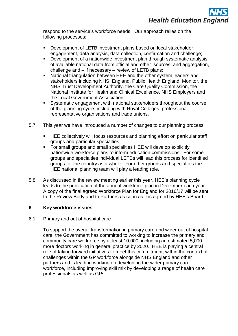respond to the service"s workforce needs. Our approach relies on the following processes:

- **-** Development of LETB investment plans based on local stakeholder engagement, data analysis, data collection, confirmation and challenge;
- Development of a nationwide investment plan through systematic analysis of available national data from official and other sources, and aggregation, challenge and – if necessary – review of LETB plans;
- National triangulation between HEE and the other system leaders and stakeholders including NHS England, Public Health England, Monitor, the NHS Trust Development Authority, the Care Quality Commission, the National Institute for Health and Clinical Excellence, NHS Employers and the Local Government Association.
- Systematic engagement with national stakeholders throughout the course of the planning cycle, including with Royal Colleges, professional representative organisations and trade unions.
- 5.7 This year we have introduced a number of changes to our planning process:
	- **HEE collectively will focus resources and planning effort on particular staff** groups and particular specialties
	- For small groups and small specialities HEE will develop explicitly nationwide workforce plans to inform education commissions. For some groups and specialties individual LETBs will lead this process for identified groups for the country as a whole. For other groups and specialties the HEE national planning team will play a leading role.
- 5.8 As discussed in the review meeting earlier this year, HEE"s planning cycle leads to the publication of the annual workforce plan in December each year. A copy of the final agreed Workforce Plan for England for 2016/17 will be sent to the Review Body and to Partners as soon as it is agreed by HEE"s Board.

#### **6 Key workforce issues**

#### 6.1 Primary and out of hospital care

To support the overall transformation in primary care and wider out of hospital care, the Government has committed to working to increase the primary and community care workforce by at least 10,000, including an estimated 5,000 more doctors working in general practice by 2020. HEE is playing a central role of taking forward initiatives to meet this commitment, within the context of challenges within the GP workforce alongside NHS England and other partners and is leading working on developing the wider primary care workforce, including improving skill mix by developing a range of health care professionals as well as GPs.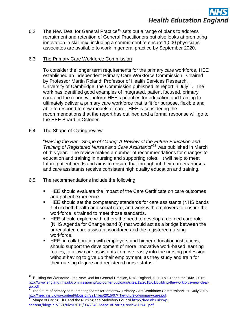

6.2 The New Deal for General Practice<sup>10</sup> sets out a range of plans to address recruitment and retention of General Practitioners but also looks at promoting innovation in skill mix, including a commitment to ensure 1,000 physicians' associates are available to work in general practice by September 2020.

#### 6.3 The Primary Care Workforce Commission

To consider the longer term requirements for the primary care workforce, HEE established an independent Primary Care Workforce Commission. Chaired by Professor Martin Roland, Professor of Health Services Research, University of Cambridge, the Commission published its report in July<sup>11</sup>. The work has identified good examples of integrated, patient focused, primary care and the report will inform HEE"s priorities for education and training to ultimately deliver a primary care workforce that is fit for purpose, flexible and able to respond to new models of care. HEE is considering the recommendations that the report has outlined and a formal response will go to the HEE Board in October.

#### 6.4 The Shape of Caring review

1

"*Raising the Bar - Shape of Caring: A Review of the Future Education and Training of Registered Nurses and Care Assistants*" <sup>12</sup> was published in March of this year. The review makes a number of recommendations for changes to education and training in nursing and supporting roles. It will help to meet future patient needs and aims to ensure that throughout their careers nurses and care assistants receive consistent high quality education and training.

- 6.5 The recommendations include the following:
	- **HEE should evaluate the impact of the Care Certificate on care outcomes** and patient experience.
	- HEE should set the competency standards for care assistants (NHS bands 1-4) in both health and social care, and work with employers to ensure the workforce is trained to meet those standards.
	- HEE should explore with others the need to develop a defined care role (NHS Agenda for Change band 3) that would act as a bridge between the unregulated care assistant workforce and the registered nursing workforce.
	- HEE, in collaboration with employers and higher education institutions, should support the development of more innovative work-based learning routes, to allow care assistants to move easily into the nursing profession without having to give up their employment, as they study and train for their nursing degree and registered nurse status.

 $10$  'Building the Workforce - the New Deal for General Practice, NHS England, HEE, RCGP and the BMA, 2015: [http://www.england.nhs.uk/commissioning/wp-content/uploads/sites/12/2015/01/building-the-workforce-new-deal](http://www.england.nhs.uk/commissioning/wp-content/uploads/sites/12/2015/01/building-the-workforce-new-deal-gp.pdf)[gp.pdf](http://www.england.nhs.uk/commissioning/wp-content/uploads/sites/12/2015/01/building-the-workforce-new-deal-gp.pdf)

 $^{11}$  The future of primary care: creating teams for tomorrow, Primary Care Workforce Commission/HEE, July 2015: <http://hee.nhs.uk/wp-content/blogs.dir/321/files/2015/07/The-future-of-primary-care.pdf>

<sup>12</sup> Shape of Caring, HEE and the Nursing and Midwifery Council [http://hee.nhs.uk/wp](http://hee.nhs.uk/wp-content/blogs.dir/321/files/2015/03/2348-Shape-of-caring-review-FINAL.pdf)[content/blogs.dir/321/files/2015/03/2348-Shape-of-caring-review-FINAL.pdf](http://hee.nhs.uk/wp-content/blogs.dir/321/files/2015/03/2348-Shape-of-caring-review-FINAL.pdf)